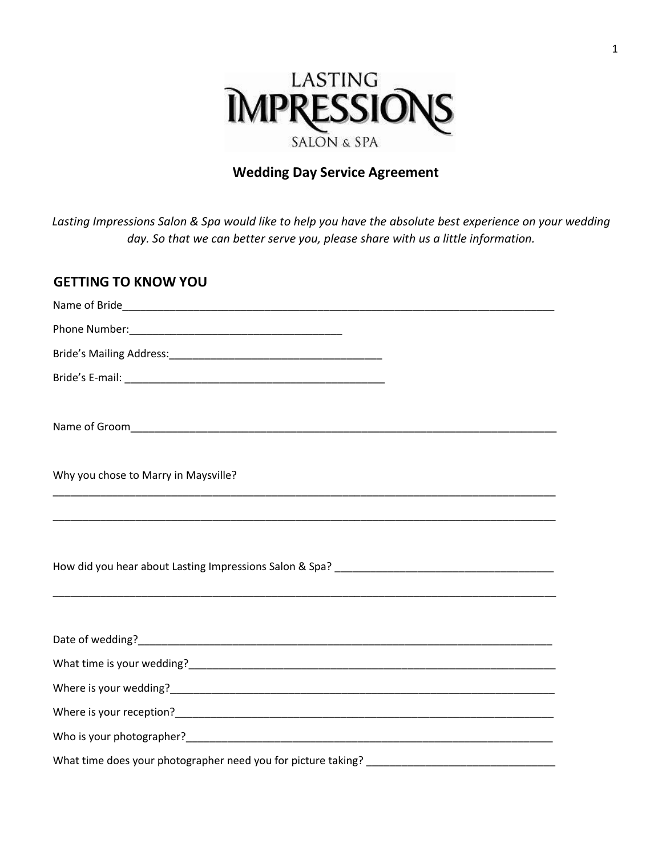

# **Wedding Day Service Agreement**

*Lasting Impressions Salon & Spa would like to help you have the absolute best experience on your wedding day. So that we can better serve you, please share with us a little information.* 

## **GETTING TO KNOW YOU**

| Why you chose to Marry in Maysville?                                                                                                             |
|--------------------------------------------------------------------------------------------------------------------------------------------------|
|                                                                                                                                                  |
| ,我们也不能在这里的,我们也不能在这里的时候,我们也不能在这里的时候,我们也不能会不能会不能会不能会不能会不能会不能会。<br>第251章 我们的时候,我们的时候,我们的时候,我们的时候,我们的时候,我们的时候,我们的时候,我们的时候,我们的时候,我们的时候,我们的时候,我们的时候,我们 |
|                                                                                                                                                  |
|                                                                                                                                                  |
|                                                                                                                                                  |
|                                                                                                                                                  |
|                                                                                                                                                  |
|                                                                                                                                                  |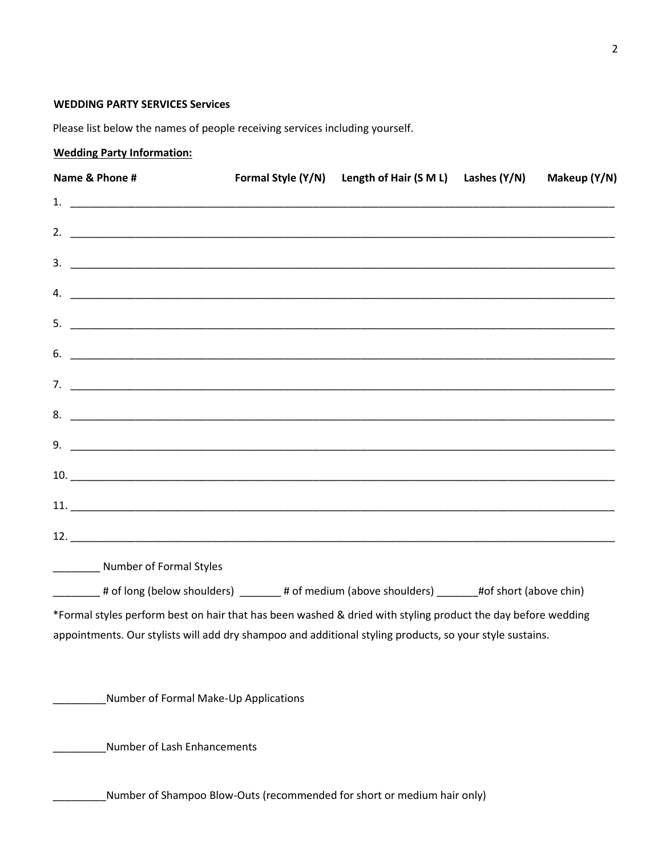### **WEDDING PARTY SERVICES Services**

Please list below the names of people receiving services including yourself.

## **Wedding Party Information:**

| Name & Phone #                                                                                               | Formal Style (Y/N) | Length of Hair (S M L) | Lashes (Y/N) | Makeup (Y/N) |
|--------------------------------------------------------------------------------------------------------------|--------------------|------------------------|--------------|--------------|
|                                                                                                              |                    |                        |              |              |
|                                                                                                              |                    |                        |              |              |
|                                                                                                              |                    |                        |              |              |
|                                                                                                              |                    |                        |              |              |
|                                                                                                              |                    |                        |              |              |
| $\mathbf{6.}$ $\blacksquare$                                                                                 |                    |                        |              |              |
|                                                                                                              |                    |                        |              |              |
|                                                                                                              |                    |                        |              |              |
|                                                                                                              |                    |                        |              |              |
|                                                                                                              |                    |                        |              |              |
|                                                                                                              |                    |                        |              |              |
|                                                                                                              |                    |                        |              |              |
| ___________ Number of Formal Styles                                                                          |                    |                        |              |              |
| ________# of long (below shoulders) _______# of medium (above shoulders) ______#of short (above chin)        |                    |                        |              |              |
| *Formal styles perform best on hair that has been washed & dried with styling product the day before wedding |                    |                        |              |              |
| appointments. Our stylists will add dry shampoo and additional styling products, so your style sustains.     |                    |                        |              |              |
| Number of Formal Make-Up Applications                                                                        |                    |                        |              |              |
| Number of Lash Enhancements                                                                                  |                    |                        |              |              |
| Number of Shampoo Blow-Outs (recommended for short or medium hair only)                                      |                    |                        |              |              |